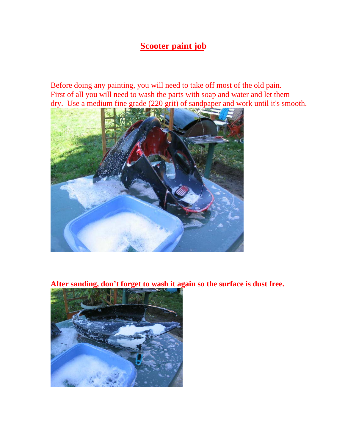## **Scooter paint job**

Before doing any painting, you will need to take off most of the old pain. First of all you will need to wash the parts with soap and water and let them dry. Use a medium fine grade (220 grit) of sandpaper and work until it's smooth.



**After sanding, don't forget to wash it again so the surface is dust free.**

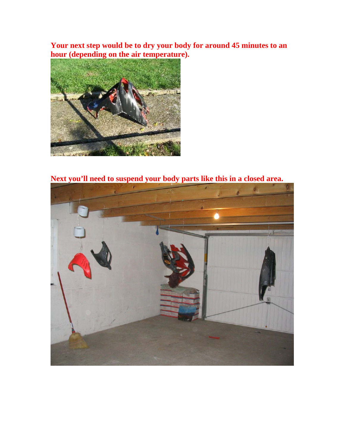**Your next step would be to dry your body for around 45 minutes to an hour (depending on the air temperature).** 



**Next you'll need to suspend your body parts like this in a closed area.**

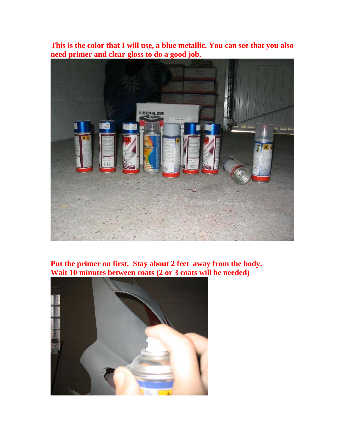**This is the color that I will use, a blue metallic. You can see that you also need primer and clear gloss to do a good job.** 



## **Put the primer on first. Stay about 2 feet away from the body. Wait 10 minutes between coats (2 or 3 coats will be needed)**

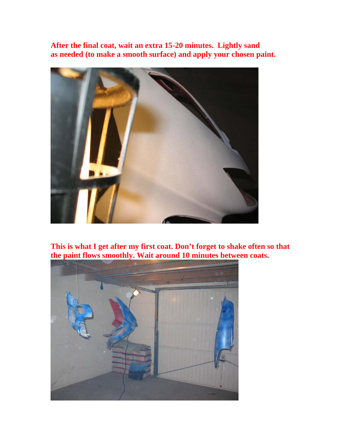**After the final coat, wait an extra 15-20 minutes. Lightly sand as needed (to make a smooth surface) and apply your chosen paint.** 



**This is what I get after my first coat. Don't forget to shake often so that the paint flows smoothly. Wait around 10 minutes between coats.**

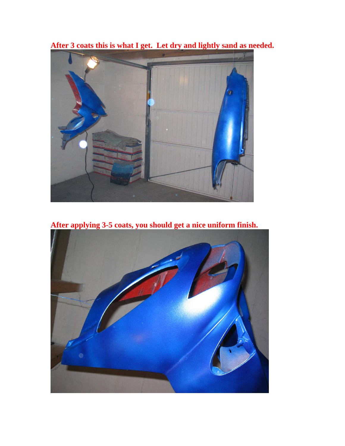

**After 3 coats this is what I get. Let dry and lightly sand as needed.**

**After applying 3-5 coats, you should get a nice uniform finish.**